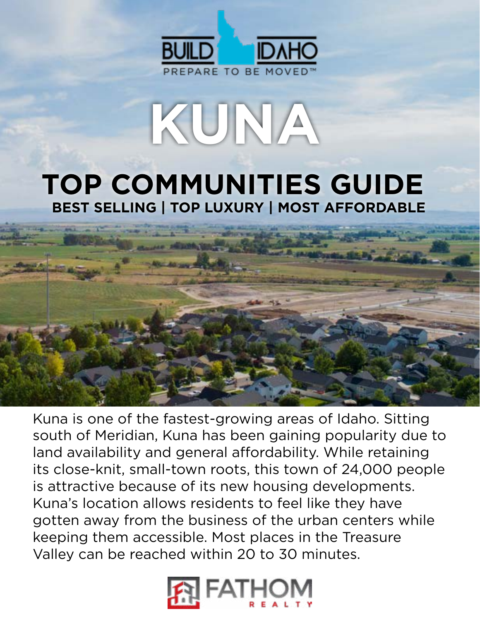

## **TOP COMMUNITIES GUIDE BEST SELLING | TOP LUXURY | MOST AFFORDABLE**

**KUNA**



Kuna is one of the fastest-growing areas of Idaho. Sitting south of Meridian, Kuna has been gaining popularity due to land availability and general affordability. While retaining its close-knit, small-town roots, this town of 24,000 people is attractive because of its new housing developments. Kuna's location allows residents to feel like they have gotten away from the business of the urban centers while keeping them accessible. Most places in the Treasure Valley can be reached within 20 to 30 minutes.